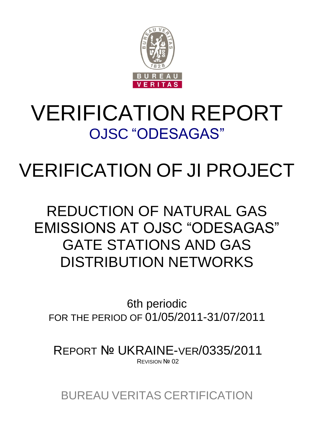

# VERIFICATION REPORT OJSC "ODESAGAS"

# VERIFICATION OF JI PROJECT

# REDUCTION OF NATURAL GAS EMISSIONS AT OJSC "ODESAGAS" GATE STATIONS AND GAS DISTRIBUTION NETWORKS

6th periodic FOR THE PERIOD OF 01/05/2011-31/07/2011

REPORT № UKRAINE-VER/0335/2011 REVISION Nº 02

BUREAU VERITAS CERTIFICATION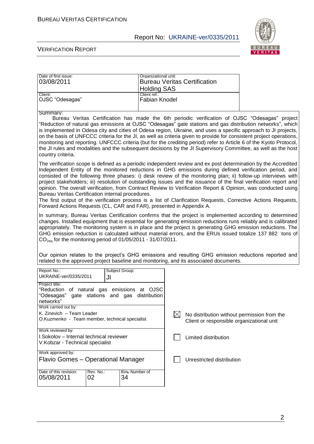

#### VERIFICATION REPORT

| Date of first issue: | Organizational unit:                |
|----------------------|-------------------------------------|
| 03/08/2011           | <b>Bureau Veritas Certification</b> |
|                      | <b>Holding SAS</b>                  |
| Client:              | Client ref.:                        |
| OJSC "Odesagas"      | Fabian Knodel                       |
|                      |                                     |

#### Summary:

Bureau Veritas Certification has made the 6th periodic verification of OJSC "Odesagas" project "Reduction of natural gas emissions at OJSC "Odesagas" gate stations and gas distribution networks", which is implemented in Odesa city and cities of Odesa region, Ukraine, and uses a specific approach to JI projects, on the basis of UNFCCC criteria for the JI, as well as criteria given to provide for consistent project operations, monitoring and reporting. UNFCCC criteria (but for the crediting period) refer to Article 6 of the Kyoto Protocol, the JI rules and modalities and the subsequent decisions by the JI Supervisory Committee, as well as the host country criteria.

The verification scope is defined as a periodic independent review and ex post determination by the Accredited Independent Entity of the monitored reductions in GHG emissions during defined verification period, and consisted of the following three phases: i) desk review of the monitoring plan; ii) follow-up interviews with project stakeholders; iii) resolution of outstanding issues and the issuance of the final verification report and opinion. The overall verification, from Contract Review to Verification Report & Opinion, was conducted using Bureau Veritas Certification internal procedures.

The first output of the verification process is a list of Clarification Requests, Corrective Actions Requests, Forward Actions Requests (CL, CAR and FAR), presented in Appendix A.

In summary, Bureau Veritas Certification confirms that the project is implemented according to determined changes. Installed equipment that is essential for generating emission reductions runs reliably and is calibrated appropriately. The monitoring system is in place and the project is generating GHG emission reductions. The GHG emission reduction is calculated without material errors, and the ERUs issued totalize 137 882 tons of  $CO<sub>2eq</sub>$  for the monitoring period of 01/05/2011 - 31/07/2011.

|  |  |  |                                                                                        |  |  | Our opinion relates to the project's GHG emissions and resulting GHG emission reductions reported and |  |
|--|--|--|----------------------------------------------------------------------------------------|--|--|-------------------------------------------------------------------------------------------------------|--|
|  |  |  | related to the approved project baseline and monitoring, and its associated documents. |  |  |                                                                                                       |  |

| Report No.:<br>Subject Group:<br>UKRAINE-ver/0335/2011<br>JI                                                   |                                                                                                 |
|----------------------------------------------------------------------------------------------------------------|-------------------------------------------------------------------------------------------------|
| Project title:<br>"Reduction of natural gas emissions at OJSC<br>"Odesagas" gate stations and gas distribution |                                                                                                 |
| networks"<br>Work carried out by:                                                                              |                                                                                                 |
| K. Zinevich - Team Leader<br>O.Kuzmenko - Team member, technical specialist                                    | No distribution without permission from the<br>IХI<br>Client or responsible organizational unit |
| Work reviewed by:<br>I.Sokolov – Internal technical reviewer                                                   |                                                                                                 |
| V.Kobzar - Technical specialist                                                                                | Limited distribution                                                                            |
| Work approved by:                                                                                              |                                                                                                 |
| Flavio Gomes – Operational Manager                                                                             | Unrestricted distribution                                                                       |
| Rev. No.:<br>Date of this revision:<br>Кіль Number of<br>34<br>05/08/2011<br>02                                |                                                                                                 |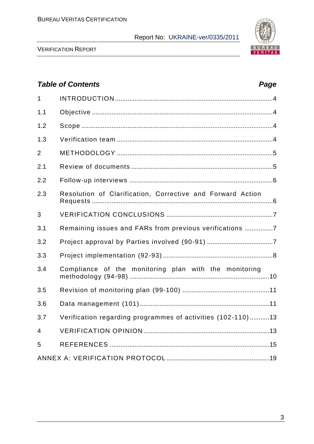

VERIFICATION REPORT

# *Table of Contents Page* 1 INTRODUCTION .........................................................................................4 1.1 Objective ......................................................................................................4 1.2 Scope ............................................................................................................4 1.3 Verification team ........................................................................................4 2 METHODOLOGY ........................................................................................5 2.1 Review of documents ................................................................................5 2.2 Follow-up interviews .................................................................................6 2.3 Resolution of Сlarification, Сorrective and Forward Action Requests ......................................................................................................6 3 VERIFICATION CONCLUSIONS ............................................................7 3.1 Remaining issues and FARs from previous verifications ................7 3.2 Project approval by Parties involved (90-91) .....................................7 3.3 Project implementation (92-93) ..............................................................8 3.4 Compliance of the monitoring plan with the monitoring methodology (94-98) ...............................................................................10 3.5 Revision of monitoring plan (99-100) .................................................11 3.6 Data management (101).........................................................................11 3.7 Verification regarding programmes of activities (102-110) ...........13 4 VERIFICATION OPINION .......................................................................13 5 REFERENCES ..........................................................................................15 ANNEX A: VERIFICATION PROTOCOL ..........................................................19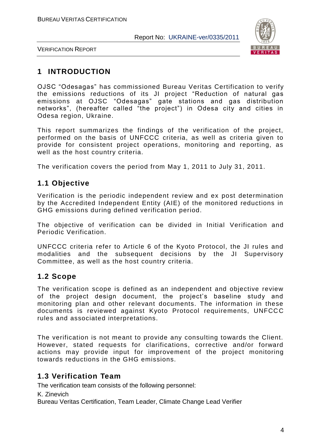

VERIFICATION REPORT

# **1 INTRODUCTION**

OJSC "Odesagas" has commissioned Bureau Veritas Certification to verify the emissions reductions of its JI project "Reduction of natural gas emissions at OJSC "Odesagas" gate stations and gas distribution networks", (hereafter called "the project") in Odesa city and cities in Odesa region, Ukraine.

This report summarizes the findings of the verification of the project, performed on the basis of UNFCCC criteria, as well as criteria given to provide for consistent project operations, monitoring and reporting, as well as the host country criteria.

The verification covers the period from May 1, 2011 to July 31, 2011.

# **1.1 Objective**

Verification is the periodic independent review and ex post determination by the Accredited Independent Entity (AIE) of the monitored reductions in GHG emissions during defined verification period.

The objective of verification can be divided in Initial Verification and Periodic Verification.

UNFCCC criteria refer to Article 6 of the Kyoto Protocol, the JI rules and modalities and the subsequent decisions by the JI Supervisory Committee, as well as the host country criteria.

# **1.2 Scope**

The verification scope is defined as an independent and objective review of the project design document, the project"s baseline study and monitoring plan and other relevant documents. The information in these documents is reviewed against Kyoto Protocol requirements, UNFCC C rules and associated interpretations.

The verification is not meant to provide any consulting towards the Client. However, stated requests for clarifications, corrective and/or forward actions may provide input for improvement of the project monitoring towards reductions in the GHG emissions.

# **1.3 Verification Team**

The verification team consists of the following personnel:

K. Zinevich

Bureau Veritas Certification, Team Leader, Climate Change Lead Verifier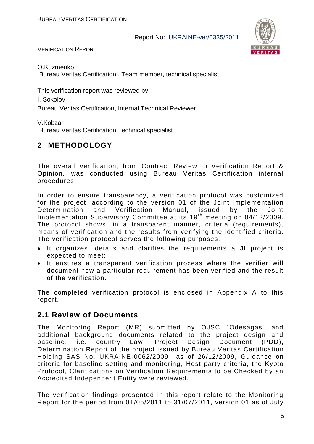

VERIFICATION REPORT

O.Kuzmenko

Bureau Veritas Certification , Team member, technical specialist

This verification report was reviewed by:

I. Sokolov

Bureau Veritas Certification, Internal Technical Reviewer

V.Kobzar

Bureau Veritas Certification,Technical specialist

# **2 METHODOLOGY**

The overall verification, from Contract Review to Verification Report & Opinion, was conducted using Bureau Veritas Certification internal procedures.

In order to ensure transparency, a verification protocol was customized for the project, according to the version 01 of the Joint Implementation Determination and Verification Manual, issued by the Joint Implementation Supervisory Committee at its 19<sup>th</sup> meeting on 04/12/2009. The protocol shows, in a transparent manner, criteria (requirements), means of verification and the results from verifying the identified criteria. The verification protocol serves the following purposes:

- It organizes, details and clarifies the requirements a JI project is expected to meet;
- It ensures a transparent verification process where the verifier will document how a particular requirement has been verified and the result of the verification.

The completed verification protocol is enclosed in Appendix A to this report.

# **2.1 Review of Documents**

The Monitoring Report (MR) submitted by OJSC "Odesagas" and additional background documents related to the project design and baseline, i.e. country Law, Project Design Document (PDD), Determination Report of the project issued by Bureau Veritas Certification Holding SAS No. UKRAINE-0062/2009 as of 26/12/2009, Guidance on criteria for baseline setting and monitoring, Host party criteria, the Kyoto Protocol, Clarifications on Verification Requirements to be Checked by an Accredited Independent Entity were reviewed.

The verification findings presented in this report relate to the Monitoring Report for the period from 01/05/2011 to 31/07/2011, version 01 as of July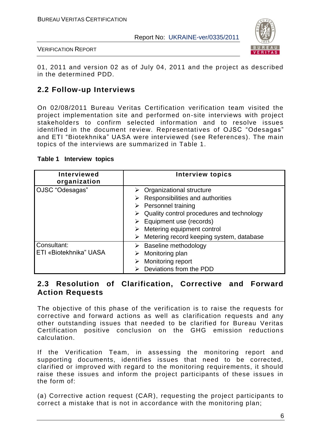

VERIFICATION REPORT

01, 2011 and version 02 as of July 04, 2011 and the project as described in the determined PDD.

# **2.2 Follow-up Interviews**

On 02/08/2011 Bureau Veritas Certification verification team visited the project implementation site and performed on-site interviews with project stakeholders to confirm selected information and to resolve issues identified in the document review. Representatives of OJSC "Odesagas" and ETI "Biotekhnika" UASA were interviewed (see References). The main topics of the interviews are summarized in Table 1.

#### **Table 1 Interview topics**

| <b>Interviewed</b><br>organization    | <b>Interview topics</b>                                                                                                                                                                                                                                                          |
|---------------------------------------|----------------------------------------------------------------------------------------------------------------------------------------------------------------------------------------------------------------------------------------------------------------------------------|
| OJSC "Odesagas"                       | Organizational structure<br>Responsibilities and authorities<br>➤<br>$\triangleright$ Personnel training<br>Quality control procedures and technology<br>$\triangleright$ Equipment use (records)<br>Metering equipment control<br>Metering record keeping system, database<br>➤ |
| Consultant:<br>ETI «Biotekhnika" UASA | Baseline methodology<br>Monitoring plan<br>Monitoring report<br>Deviations from the PDD                                                                                                                                                                                          |

# **2.3 Resolution of Clarification, Corrective and Forward Action Requests**

The objective of this phase of the verification is to raise the requests for corrective and forward actions as well as clarification requests and any other outstanding issues that needed to be clarified for Bureau Veritas Certification positive conclusion on the GHG emission reductions calculation.

If the Verification Team, in assessing the monitoring report and supporting documents, identifies issues that need to be corrected, clarified or improved with regard to the monitoring requirements, it should raise these issues and inform the project participants of these issues in the form of:

(а) Corrective action request (CAR), requesting the project participants to correct a mistake that is not in accordance with the monitoring plan;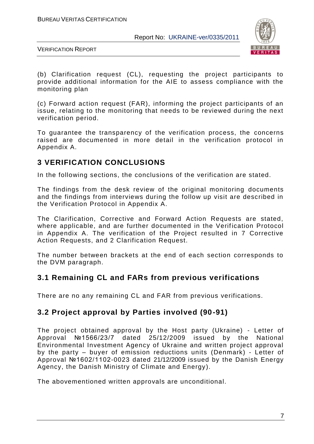

VERIFICATION REPORT

(b) Clarification request (CL), requesting the project participants to provide additional information for the AIE to assess compliance with the monitoring plan

(c) Forward action request (FAR), informing the project participants of an issue, relating to the monitoring that needs to be reviewed during the next verification period.

To guarantee the transparency of the verification process, the concerns raised are documented in more detail in the verification protocol in Appendix A.

# **3 VERIFICATION CONCLUSIONS**

In the following sections, the conclusions of the verification are stated.

The findings from the desk review of the original monitoring documents and the findings from interviews during the follow up visit are described in the Verification Protocol in Appendix A.

The Clarification, Corrective and Forward Action Requests are stated, where applicable, and are further documented in the Verification Protocol in Appendix A. The verification of the Project resulted in 7 Corrective Action Requests, and 2 Clarification Request.

The number between brackets at the end of each section corresponds to the DVM paragraph.

# **3.1 Remaining CL and FARs from previous verifications**

There are no any remaining CL and FAR from previous verifications.

# **3.2 Project approval by Parties involved (90-91)**

The project obtained approval by the Host party (Ukraine) - Letter of Approval №1566/23/7 dated 25/12/2009 issued by the National Environmental Investment Agency of Ukraine and written project approval by the party – buyer of emission reductions units (Denmark) - Letter of Approval №1602/1102-0023 dated 21/12/2009 issued by the Danish Energy Agency, the Danish Ministry of Climate and Energy).

The abovementioned written approvals are unconditional.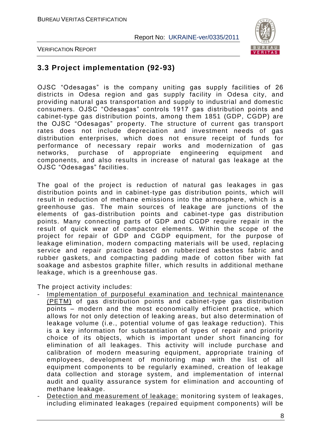

VERIFICATION REPORT

# **3.3 Project implementation (92-93)**

OJSC "Odesagas" is the company uniting gas supply facilities of 26 districts in Odesa region and gas supply facility in Odesa city, and providing natural gas transportation and supply to industrial and domestic consumers. OJSC "Odesagas" controls 1917 gas distribution points and cabinet-type gas distribution points, among them 1851 (GDP, CGDP) are the OJSC "Odesagas" property. The structure of current gas transport rates does not include depreciation and investment needs of gas distribution enterprises, which does not ensure receipt of funds for performance of necessary repair works and modernization of gas networks, purchase of appropriate engineering equipment and components, and also results in increase of natural gas leakage at the OJSC "Odesagas" facilities.

The goal of the project is reduction of natural gas leakages in gas distribution points and in cabinet-type gas distribution points, which will result in reduction of methane emissions into the atmosphere, which is a greenhouse gas. The main sources of leakage are junctions of the elements of gas-distribution points and cabinet-type gas distribution points. Many connecting parts of GDP and CGDP require repair in the result of quick wear of compactor elements. Within the scope of the project for repair of GDP and CGDP equipment, for the purpose of leakage elimination, modern compacting materials will be used, replacin g service and repair practice based on rubberized asbestos fabric and rubber gaskets, and compacting padding made of cotton fiber with fat soakage and asbestos graphite filler, which results in additional methane leakage, which is a greenhouse gas.

The project activity includes:

- Implementation of purposeful examination and technical maintenance (PETM) of gas distribution points and cabinet-type gas distribution points – modern and the most economically efficient practice, which allows for not only detection of leaking areas, but also determination of leakage volume (i.e., potential volume of gas leakage reduction). This is a key information for substantiation of types of repair and priority choice of its objects, which is important under short financing for elimination of all leakages. This activity will include purchase and calibration of modern measuring equipment, appropriate training of employees, development of monitoring map with the list of all equipment components to be regularly examined, creation of leakage data collection and storage system, and implementation of internal audit and quality assurance system for elimination and accounting of methane leakage.
- Detection and measurement of leakage: monitoring system of leakages, including eliminated leakages (repaired equipment components) will be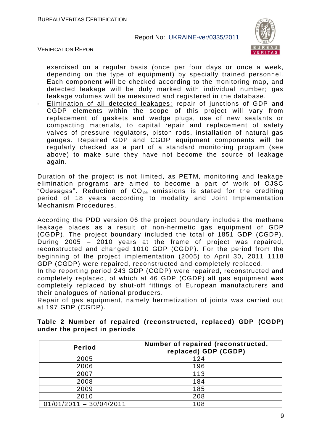

VERIFICATION REPORT

exercised on a regular basis (once per four days or once a week, depending on the type of equipment) by specially trained personnel. Each component will be checked according to the monitoring map, and detected leakage will be duly marked with individual number; gas leakage volumes will be measured and registered in the database.

Elimination of all detected leakages: repair of junctions of GDP and CGDP elements within the scope of this project will vary from replacement of gaskets and wedge plugs, use of new sealants or compacting materials, to capital repair and replacement of safety valves of pressure regulators, piston rods, installation of natural gas gauges. Repaired GDP and CGDP equipment components will be regularly checked as a part of a standard monitoring program (see above) to make sure they have not become the source of leakage again.

Duration of the project is not limited, as PETM, monitoring and leakage elimination programs are aimed to become a part of work of OJSC "Odesagas". Reduction of  $CO<sub>2e</sub>$  emissions is stated for the crediting period of 18 years according to modality and Joint Implementation Mechanism Procedures.

According the PDD version 06 the project boundary includes the methane leakage places as a result of non-hermetic gas equipment of GDP (CGDP). The project boundary included the total of 1851 GDP (CGDP). During 2005 – 2010 years at the frame of project was repaired, reconstructed and changed 1010 GDP (CGDP). For the period from the beginning of the project implementation (2005) to April 30, 2011 1118 GDP (CGDP) were repaired, reconstructed and completely replaced.

In the reporting period 243 GDP (CGDP) were repaired, reconstructed and completely replaced, of which at 46 GDP (CGDP) all gas equipment was completely replaced by shut-off fittings of European manufacturers and their analogues of national producers.

Repair of gas equipment, namely hermetization of joints was carried out at 197 GDP (CGDP).

| <b>Period</b>             | Number of repaired (reconstructed,<br>replaced) GDP (CGDP) |
|---------------------------|------------------------------------------------------------|
| 2005                      | 124                                                        |
| 2006                      | 196                                                        |
| 2007                      | 113                                                        |
| 2008                      | 184                                                        |
| 2009                      | 185                                                        |
| 2010                      | 208                                                        |
| $01/01/2011 - 30/04/2011$ | 108                                                        |

**Table 2 Number of repaired (reconstructed, replaced) GDP (CGDP) under the project in periods**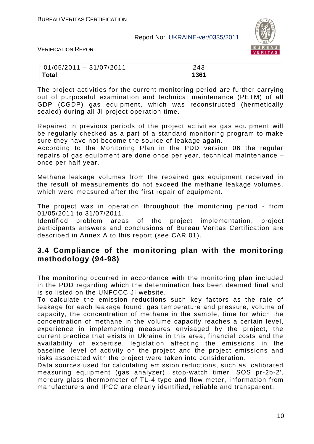

VERIFICATION REPORT

| 01/05/2011<br>72011<br>$-31/07/$ | 243  |
|----------------------------------|------|
| <b>Total</b>                     | 1361 |

The project activities for the current monitoring period are further carrying out of purposeful examination and technical maintenance (PETM) of all GDP (CGDP) gas equipment, which was reconstructed (hermetically sealed) during all JI project operation time.

Repaired in previous periods of the project activities gas equipment will be regularly checked as a part of a standard monitoring program to make sure they have not become the source of leakage again.

According to the Monitoring Plan in the PDD version 06 the regular repairs оf gas equipment are done once per year, technical mainten ance – once per half year.

Methane leakage volumes from the repaired gas equipment received in the result of measurements do not exceed the methane leakage volumes, which were measured after the first repair of equipment.

The project was in operation throughout the monitoring period - from 01/05/2011 to 31/07/2011.

Identified problem areas of the project implementation, project participants answers and conclusions of Bureau Veritas Certification are described in Annex A to this report (see CAR 01).

# **3.4 Compliance of the monitoring plan with the monitoring methodology (94-98)**

The monitoring occurred in accordance with the monitoring plan included in the PDD regarding which the determination has been deemed final and is so listed on the UNFCCC JI website.

To calculate the emission reductions such key factors as the rate of leakage for each leakage found, gas temperature and pressure, volume of capacity, the concentration of methane in the sample, time for which the concentration of methane in the volume capacity reaches a certain level, experience in implementing measures envisaged by the project, the current practice that exists in Ukraine in this area, financial costs and the availability of expertise, legislation affecting the emissions in the baseline, level of activity on the project and the project emissions and risks associated with the project were taken into consideration.

Data sources used for calculating emission reductions, such as calibrated measuring equipment (gas analyzer), stop-watch timer "SOS pr-2b-2', mercury glass thermometer of TL-4 type and flow meter, information from manufacturers and IPCC are clearly identified, reliable and transparent.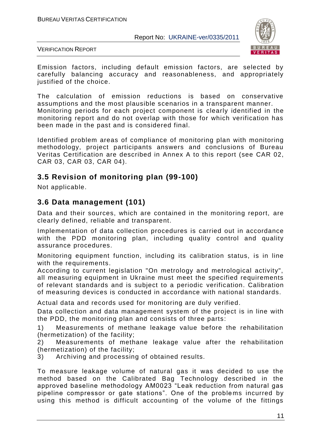

VERIFICATION REPORT

Emission factors, including default emission factors, are selected by carefully balancing accuracy and reasonableness, and appropriately justified of the choice.

The calculation of emission reductions is based on conservative assumptions and the most plausible scenarios in a transparent manner. Monitoring periods for each project component is clearly identified in the monitoring report and do not overlap with those for which verification has been made in the past and is considered final.

Identified problem areas of compliance of monitoring plan with monitoring methodology, project participants answers and conclusions of Bureau Veritas Certification are described in Annex A to this report (see CAR 02, CAR 03, CAR 03, CAR 04).

# **3.5 Revision of monitoring plan (99-100)**

Not applicable.

# **3.6 Data management (101)**

Data and their sources, which are contained in the monitoring report, are clearly defined, reliable and transparent.

Implementation of data collection procedures is carried out in accordance with the PDD monitoring plan, including quality control and quality assurance procedures.

Monitoring equipment function, including its calibration status, is in line with the requirements.

According to current legislation "On metrology and metrological activity", all measuring equipment in Ukraine must meet the specified requirements of relevant standards and is subject to a periodic verification. Calibration of measuring devices is conducted in accordance with national standards.

Actual data and records used for monitoring are duly verified.

Data collection and data management system of the project is in line with the PDD, the monitoring plan and consists of three parts:

1) Measurements of methane leakage value before the rehabilitation (hermetization) of the facility;

2) Measurements of methane leakage value after the rehabilitation (hermetization) of the facility;

3) Archiving and processing of obtained results.

To measure leakage volume of natural gas it was decided to use the method based on the Calibrated Bag Technology described in the approved baseline methodology AM0023 "Leak reduction from natural gas pipeline compressor or gate stations". One of the problems incurred by using this method is difficult accounting of the volume of the fittings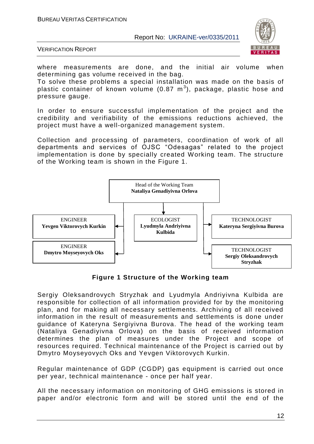

VERIFICATION REPORT

where measurements are done, and the initial air volume when determining gas volume received in the bag.

To solve these problems a special installation was made on the basis of plastic container of known volume (0.87  $\textsf{m}^{3}$ ), package, plastic hose and pressure gauge.

In order to ensure successful implementation of the project and the credibility and verifiability of the emissions reductions achieved, the project must have a well-organized management system.

Collection and processing of parameters, coordination of work of all departments and services of OJSC "Odesagas" related to the project implementation is done by specially created Working team. The structure of the Working team is shown in the Figure 1.



**Figure 1 Structure of the Working team**

Sergiy Oleksandrovych Stryzhak and Lyudmyla Andriyivna Kulbida are responsible for collection of all information provided for by the monitoring plan, and for making all necessary settlements. Archiving of all received information in the result of measurements and settlements is done under guidance of Kateryna Sergiyivna Burova. The head of the working team (Nataliya Genadiyivna Orlova) on the basis of received information determines the plan of measures under the Project and scope of resources required. Technical maintenance of the Project is carried out by Dmytro Moyseyovych Oks and Yevgen Viktorovych Kurkin.

Regular maintenance of GDP (CGDP) gas equipment is carried out once per year, technical maintenance - once per half year.

All the necessary information on monitoring of GHG emissions is stored in paper and/or electronic form and will be stored until the end of the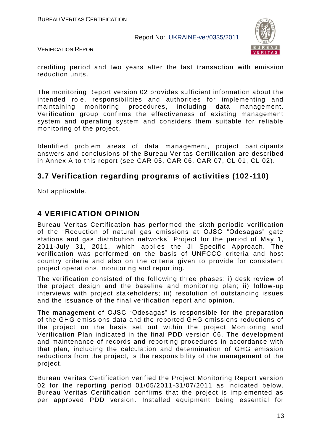

VERIFICATION REPORT

crediting period and two years after the last transaction with emission reduction units.

The monitoring Report version 02 provides sufficient information about the intended role, responsibilities and authorities for implementing and maintaining monitoring procedures, including data management. Verification group confirms the effectiveness of existing management system and operating system and considers them suitable for reliable monitoring of the project.

Identified problem areas of data management, project participants answers and conclusions of the Bureau Veritas Certification are described in Annex A to this report (see CAR 05, CAR 06, CAR 07, CL 01, CL 02).

# **3.7 Verification regarding programs of activities (102-110)**

Not applicable.

# **4 VERIFICATION OPINION**

Bureau Veritas Certification has performed the sixth periodic verification of the "Reduction of natural gas emissions at OJSC "Odesagas" gate stations and gas distribution networks" Project for the period of May 1, 2011-July 31, 2011, which applies the JI Specific Approach. The verification was performed on the basis of UNFCCC criteria and host country criteria and also on the criteria given to provide for consistent project operations, monitoring and reporting.

The verification consisted of the following three phases: i) desk review of the project design and the baseline and monitoring plan; ii) follow -up interviews with project stakeholders; iii) resolution of outstanding issues and the issuance of the final verification report and opinion.

The management of OJSC "Odesagas" is responsible for the preparation of the GHG emissions data and the reported GHG emissions reductions of the project on the basis set out within the project Monitoring and Verification Plan indicated in the final PDD version 06. The development and maintenance of records and reporting procedures in accordance with that plan, including the calculation and determination of GHG emission reductions from the project, is the responsibility of the management of the project.

Bureau Veritas Certification verified the Project Monitoring Report version 02 for the reporting period 01/05/2011-31/07/2011 as indicated below. Bureau Veritas Certification confirms that the project is implemented as per approved PDD version. Installed equipment being essential for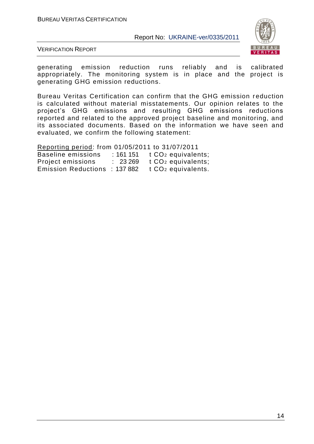

VERIFICATION REPORT

generating emission reduction runs reliably and is calibrated appropriately. The monitoring system is in place and the project is generating GHG emission reductions.

Bureau Veritas Certification can confirm that the GHG emission r eduction is calculated without material misstatements. Our opinion relates to the project"s GHG emissions and resulting GHG emissions reductions reported and related to the approved project baseline and monitoring, and its associated documents. Based on the information we have seen and evaluated, we confirm the following statement:

Reporting period: from 01/05/2011 to 31/07/2011 Baseline emissions : 161 151 t CO<sub>2</sub> equivalents; Project emissions : 23 269 t CO<sub>2</sub> equivalents; Emission Reductions : 137 882 t CO<sub>2</sub> equivalents.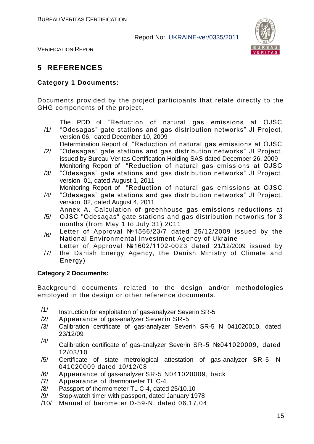

VERIFICATION REPORT

# **5 REFERENCES**

#### **Category 1 Documents:**

Documents provided by the project participants that relate directly to the GHG components of the project.

The PDD of "Reduction of natural gas emissions at OJSC

- /1/ "Odesagas" gate stations and gas distribution networks" JI Project, version 06, dated December 10, 2009 Determination Report of "Reduction of natural gas emissions at OJSC
- /2/ "Odesagas" gate stations and gas distribution networks" JI Project , issued by Bureau Veritas Certification Holding SAS dated December 26, 2009 Monitoring Report of "Reduction of natural gas emissions at OJSC
- /3/ "Odesagas" gate stations and gas distribution networks" JI Project , version 01, dated August 1, 2011

Monitoring Report of "Reduction of natural gas emissions at OJSC

- /4/ "Odesagas" gate stations and gas distribution networks" JI Project , version 02, dated August 4, 2011 Annex A. Calculation of greenhouse gas emissions reductions at
- /5/ OJSC "Odesagas" gate stations and gas distribution networks for 3 months (from May 1 to July 31) 2011
- /6/ Letter of Approval №1566/23/7 dated 25/12/2009 issued by the National Environmental Investment Agency of Ukraine
- /7/ Letter of Approval №1602/1102-0023 dated 21/12/2009 issued by the Danish Energy Agency, the Danish Ministry of Climate and Energy)

### **Category 2 Documents:**

Background documents related to the design and/or methodologies employed in the design or other reference documents.

- $/1/$  Instruction for exploitation of gas-analyzer Severin SR-5
- /2/ Appearance of gas-analyzer Severin SR-5
- /3/ Calibration certificate of gas-analyzer Severin SR-5 N 041020010, dated 23/12/09
- /4/ Calibration certificate of gas-analyzer Severin SR-5 №041020009, dated 12/03/10
- /5/ Certificate of state metrological attestation of gas-analyzer SR-5 N 041020009 dated 10/12/08
- /6/ Appearance of gas-analyzer SR-5 N041020009, back
- /7/ Appearance of thermometer TL C-4
- /8/ Passport of thermometer TL C-4, dated 25/10.10
- /9/ Stop-watch timer with passport, dated January 1978
- /10/ Manual of barometer D-59-N, dated 06.17.04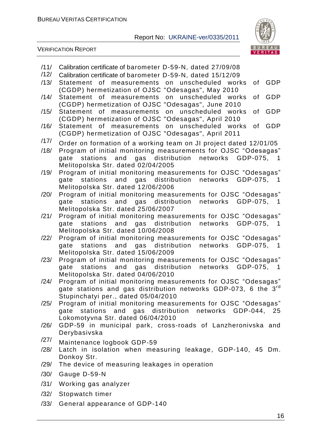

- /11/ Calibration certificate of barometer D-59-N, dated 27/09/08
- /12/ Calibration certificate of barometer D-59-N, dated 15/12/09
- /13/ Statement of measurements on unscheduled works of GDP (CGDP) hermetization of OJSC "Odesagas", May 2010
- /14/ Statement of measurements on unscheduled works of GDP (CGDP) hermetization of OJSC "Odesagas", June 2010
- /15/ Statement of measurements on unscheduled works of GDP (CGDP) hermetization of OJSC "Odesagas", April 2010
- /16/ Statement of measurements on unscheduled works of GDP (CGDP) hermetization of OJSC "Odesagas", April 2011
- $/17/$  Order on formation of a working team on JI project dated 12/01/05
- /18/ Program of initial monitoring measurements for OJSC "Odesagas" gate stations and gas distribution networks GDP-075, 1 Melitopolska Str. dated 02/04/2005
- /19/ Program of initial monitoring measurements for OJSC "Odesagas" gate stations and gas distribution networks GDP-075, 1 Melitopolska Str. dated 12/06/2006
- /20/ Program of initial monitoring measurements for OJSC "Odesagas" gate stations and gas distribution networks GDP-075, 1 Melitopolska Str. dated 25/06/2007
- /21/ Program of initial monitoring measurements for OJSC "Odesagas" gate stations and gas distribution networks GDP-075, 1 Melitopolska Str. dated 10/06/2008
- /22/ Program of initial monitoring measurements for OJSC "Odesagas" gate stations and gas distribution networks GDP-075, 1 Melitopolska Str. dated 15/06/2009
- /23/ Program of initial monitoring measurements for OJSC "Odesagas" gate stations and gas distribution networks GDP-075, 1 Melitopolska Str. dated 04/06/2010
- /24/ Program of initial monitoring measurements for OJSC "Odesagas" gate stations and gas distribution networks GDP-073, 6 the 3<sup>rd</sup> Stupinchatyi per., dated 05/04/2010
- /25/ Program of initial monitoring measurements for OJSC "Odesagas" gate stations and gas distribution networks GDP-044, 25 Lokomotyvna Str. dated 06/04/2010
- /26/ GDP-59 in municipal park, cross-roads of Lanzheronivska and Derybasivska
- /27/ Maintenance logbook GDP-59
- /28/ Latch in isolation when measuring leakage, GDP-140, 45 Dm. Donkoy Str.
- /29/ The device of measuring leakages in operation
- /30/ Gauge D-59-N
- /31/ Working gas analyzer
- /32/ Stopwatch timer
- /33/ General appearance of GDP-140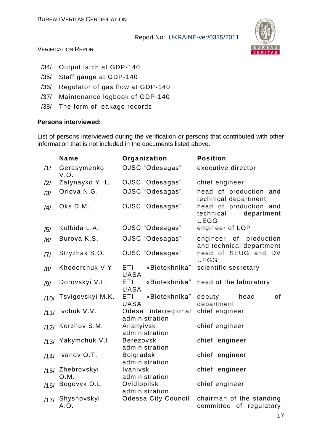

#### VERIFICATION REPORT

- /34/ Output latch at GDP-140
- /35/ Staff gauge at GDP-140
- /36/ Regulator of gas flow at GDP-140
- /37/ Maintenance logbook of GDP-140
- /38/ The form of leakage records

#### **Persons interviewed:**

List of persons interviewed during the verification or persons that contributed with other information that is not included in the documents listed above.

|      | <b>Name</b>         | Organization                               | <b>Position</b>                                                  |
|------|---------------------|--------------------------------------------|------------------------------------------------------------------|
| /1/  | Gerasymenko<br>V.O. | OJSC "Odesagas"                            | executive director                                               |
| /2/  | Zatynayko Y. L.     | OJSC "Odesagas"                            | chief engineer                                                   |
| /3/  | Orlova N.G.         | OJSC "Odesagas"                            | head of production and<br>technical department                   |
| /4/  | Oks D.M.            | OJSC "Odesagas"                            | head of production and<br>department<br>technical<br><b>UEGG</b> |
| /5/  | Kulbida L.A.        | OJSC "Odesagas"                            | engineer of LOP                                                  |
| /6/  | Burova K.S.         | OJSC "Odesagas"                            | engineer<br>of production<br>and technical department            |
| 7    | Stryzhak S.O.       | OJSC "Odesagas"                            | head of SEUG and DV<br><b>UEGG</b>                               |
| /8/  | Khodorchuk V.Y.     | ETI<br>«Biotekhnika"<br><b>UASA</b>        | scientific secretary                                             |
| /9/  | Dorovskyi V.I.      | ETI<br>«Biotekhnika"<br><b>UASA</b>        | head of the laboratory                                           |
| /10/ | Tsvigovskyi M.K.    | <b>ETI</b><br>«Biotekhnika"<br><b>UASA</b> | 0f<br>deputy<br>head<br>department                               |
| /11/ | Ivchuk V.V.         | Odesa<br>interregional<br>administration   | chief engineer                                                   |
| /12/ | Korzhov S.M.        | Ananyivsk<br>administration                | chief engineer                                                   |
| /13/ | Yakymchuk V.I.      | <b>Berezovsk</b><br>administration         | chief engineer                                                   |
| /14/ | Ivanov O.T.         | <b>Bolgradsk</b><br>administration         | chief engineer                                                   |
| /15/ | Zhebrovskyi<br>O.M. | Ivanivsk<br>administration                 | chief engineer                                                   |
| /16/ | Bogovyk O.L.        | Ovidiopilsk<br>administration              | chief engineer                                                   |
| /17/ | Shyshovskyi<br>A.O. | <b>Odessa City Council</b>                 | chairman of the standing<br>committee of regulatory              |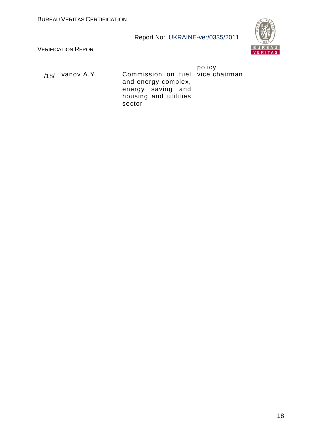

VERIFICATION REPORT

<sub>/18/</sub> Ivanov A.Y. Commission on fuel vice chairman and energy complex, energy saving and housing and utilities sector

policy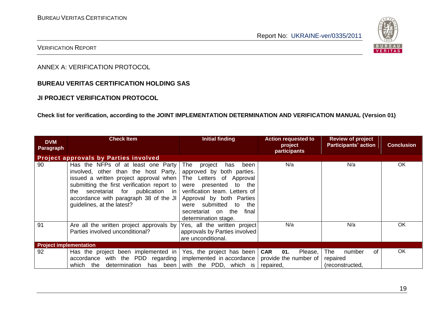

#### VERIFICATION REPORT

ANNEX A: VERIFICATION PROTOCOL

#### **BUREAU VERITAS CERTIFICATION HOLDING SAS**

#### **JI PROJECT VERIFICATION PROTOCOL**

#### **Check list for verification, according to the JOINT IMPLEMENTATION DETERMINATION AND VERIFICATION MANUAL (Version 01)**

| <b>DVM</b><br>Paragraph       | <b>Check Item</b>                                                                                                                                                                                                                                                                                           | <b>Initial finding</b>                                                                                                                                                                                                                    | <b>Action requested to</b><br>project<br>participants              | <b>Review of project</b><br><b>Participants' action</b> | <b>Conclusion</b> |
|-------------------------------|-------------------------------------------------------------------------------------------------------------------------------------------------------------------------------------------------------------------------------------------------------------------------------------------------------------|-------------------------------------------------------------------------------------------------------------------------------------------------------------------------------------------------------------------------------------------|--------------------------------------------------------------------|---------------------------------------------------------|-------------------|
|                               | <b>Project approvals by Parties involved</b>                                                                                                                                                                                                                                                                |                                                                                                                                                                                                                                           |                                                                    |                                                         |                   |
| 90                            | Has the NFPs of at least one Party<br>involved, other than the host Party,<br>issued a written project approval when The Letters of Approval<br>submitting the first verification report to  <br>the secretariat for publication in<br>accordance with paragraph 38 of the JI<br>guidelines, at the latest? | been<br>The<br>project<br>has<br>approved by both parties.<br>were presented to the<br>verification team. Letters of<br>Approval by both Parties<br>were submitted<br>the<br>to<br>the<br>final<br>secretariat on<br>determination stage. | N/a                                                                | N/a                                                     | <b>OK</b>         |
| 91                            | Are all the written project approvals by<br>Parties involved unconditional?                                                                                                                                                                                                                                 | Yes, all the written project<br>approvals by Parties involved<br>are unconditional.                                                                                                                                                       | N/a                                                                | N/a                                                     | <b>OK</b>         |
| <b>Project implementation</b> |                                                                                                                                                                                                                                                                                                             |                                                                                                                                                                                                                                           |                                                                    |                                                         |                   |
| 92                            | Has the project been implemented in  <br>accordance with the PDD regarding  <br>has been<br>determination<br>which<br>the                                                                                                                                                                                   | Yes, the project has been<br>implemented in accordance<br>with the PDD, which is                                                                                                                                                          | Please,<br><b>CAR</b><br>01.<br>provide the number of<br>repaired, | The<br>of<br>number<br>repaired<br>(reconstructed,      | OK                |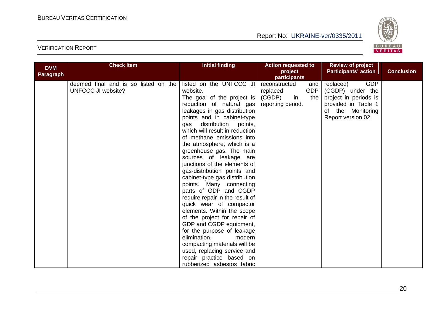

| <b>DVM</b>       | <b>Check Item</b>                                                 | <b>Initial finding</b>                                                                                                                                                                                                                                                                                                                                                                                                                                                                                                                                                                                                                                                                                                                                                                                                                       | <b>Action requested to</b>                                                                 | <b>Review of project</b>                                                                                                               |                   |
|------------------|-------------------------------------------------------------------|----------------------------------------------------------------------------------------------------------------------------------------------------------------------------------------------------------------------------------------------------------------------------------------------------------------------------------------------------------------------------------------------------------------------------------------------------------------------------------------------------------------------------------------------------------------------------------------------------------------------------------------------------------------------------------------------------------------------------------------------------------------------------------------------------------------------------------------------|--------------------------------------------------------------------------------------------|----------------------------------------------------------------------------------------------------------------------------------------|-------------------|
| <b>Paragraph</b> |                                                                   |                                                                                                                                                                                                                                                                                                                                                                                                                                                                                                                                                                                                                                                                                                                                                                                                                                              | project<br>participants                                                                    | <b>Participants' action</b>                                                                                                            | <b>Conclusion</b> |
|                  | deemed final and is so listed on the<br><b>UNFCCC JI website?</b> | listed on the UNFCCC JI<br>website.<br>The goal of the project is<br>reduction of natural gas<br>leakages in gas distribution<br>points and in cabinet-type<br>distribution<br>points,<br>gas<br>which will result in reduction<br>of methane emissions into<br>the atmosphere, which is a<br>greenhouse gas. The main<br>sources of leakage are<br>junctions of the elements of<br>gas-distribution points and<br>cabinet-type gas distribution<br>points. Many connecting<br>parts of GDP and CGDP<br>require repair in the result of<br>quick wear of compactor<br>elements. Within the scope<br>of the project for repair of<br>GDP and CGDP equipment,<br>for the purpose of leakage<br>elimination,<br>modern<br>compacting materials will be<br>used, replacing service and<br>repair practice based on<br>rubberized asbestos fabric | reconstructed<br>and<br><b>GDP</b><br>replaced<br>(CGDP)<br>in<br>the<br>reporting period. | <b>GDP</b><br>replaced)<br>(CGDP) under the<br>project in periods is<br>provided in Table 1<br>of the Monitoring<br>Report version 02. |                   |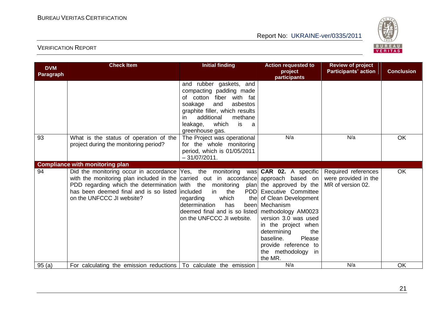

| <b>DVM</b><br>Paragraph | <b>Check Item</b>                                                                                                                                                                                                                                                                                                  | <b>Initial finding</b>                                                                                                                                                                                                             | <b>Action requested to</b><br>project<br>participants                                                                                                                                                                                                         | <b>Review of project</b><br><b>Participants' action</b>          | <b>Conclusion</b> |
|-------------------------|--------------------------------------------------------------------------------------------------------------------------------------------------------------------------------------------------------------------------------------------------------------------------------------------------------------------|------------------------------------------------------------------------------------------------------------------------------------------------------------------------------------------------------------------------------------|---------------------------------------------------------------------------------------------------------------------------------------------------------------------------------------------------------------------------------------------------------------|------------------------------------------------------------------|-------------------|
|                         |                                                                                                                                                                                                                                                                                                                    | and rubber gaskets, and<br>compacting padding made<br>of cotton fiber with fat<br>asbestos<br>soakage<br>and<br>graphite filler, which results<br>additional<br>methane<br>ın<br>which<br>leakage,<br>is<br>a a<br>greenhouse gas. |                                                                                                                                                                                                                                                               |                                                                  |                   |
| 93                      | What is the status of operation of the<br>project during the monitoring period?                                                                                                                                                                                                                                    | The Project was operational<br>for the whole monitoring<br>period, which is 01/05/2011<br>$-31/07/2011.$                                                                                                                           | N/a                                                                                                                                                                                                                                                           | N/a                                                              | <b>OK</b>         |
|                         | <b>Compliance with monitoring plan</b>                                                                                                                                                                                                                                                                             |                                                                                                                                                                                                                                    |                                                                                                                                                                                                                                                               |                                                                  |                   |
| 94                      | Did the monitoring occur in accordance Yes, the monitoring was <b>CAR 02.</b> A specific<br>with the monitoring plan included in the carried out in accordance approach based on<br>PDD regarding which the determination with the<br>has been deemed final and is so listed included<br>on the UNFCCC JI website? | monitoring<br>in<br>the<br>which<br>regarding<br>has<br>determination<br>deemed final and is so listed methodology AM0023<br>on the UNFCCC JI website.                                                                             | plan the approved by the<br><b>PDD</b> Executive Committee<br>the of Clean Development<br>been Mechanism<br>version 3.0 was used<br>in the project when<br>determining<br>the<br>baseline.<br>Please<br>provide reference to<br>the methodology in<br>the MR. | Required references<br>were provided in the<br>MR of version 02. | OK                |
| 95(a)                   | For calculating the emission reductions   To calculate the emission                                                                                                                                                                                                                                                |                                                                                                                                                                                                                                    | N/a                                                                                                                                                                                                                                                           | N/a                                                              | <b>OK</b>         |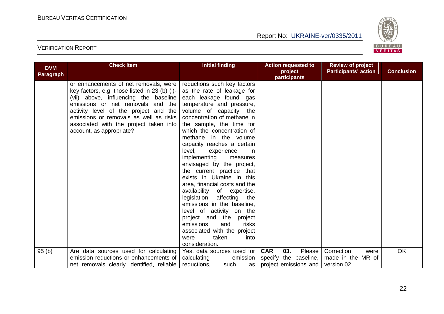

| <b>DVM</b> | <b>Check Item</b>                             | <b>Initial finding</b>        | <b>Action requested to</b>  | <b>Review of project</b>    |                   |
|------------|-----------------------------------------------|-------------------------------|-----------------------------|-----------------------------|-------------------|
| Paragraph  |                                               |                               | project<br>participants     | <b>Participants' action</b> | <b>Conclusion</b> |
|            | or enhancements of net removals, were         | reductions such key factors   |                             |                             |                   |
|            | key factors, e.g. those listed in 23 (b) (i)- | as the rate of leakage for    |                             |                             |                   |
|            | (vii) above, influencing the baseline         | each leakage found, gas       |                             |                             |                   |
|            | emissions or net removals and the             | temperature and pressure,     |                             |                             |                   |
|            | activity level of the project and the         | volume of capacity, the       |                             |                             |                   |
|            | emissions or removals as well as risks        | concentration of methane in   |                             |                             |                   |
|            | associated with the project taken into        | the sample, the time for      |                             |                             |                   |
|            | account, as appropriate?                      | which the concentration of    |                             |                             |                   |
|            |                                               | methane in the volume         |                             |                             |                   |
|            |                                               | capacity reaches a certain    |                             |                             |                   |
|            |                                               | level,<br>experience<br>in    |                             |                             |                   |
|            |                                               | implementing<br>measures      |                             |                             |                   |
|            |                                               | envisaged by the project,     |                             |                             |                   |
|            |                                               | the current practice that     |                             |                             |                   |
|            |                                               | exists in Ukraine in this     |                             |                             |                   |
|            |                                               | area, financial costs and the |                             |                             |                   |
|            |                                               | availability of expertise,    |                             |                             |                   |
|            |                                               | legislation affecting<br>the  |                             |                             |                   |
|            |                                               | emissions in the baseline,    |                             |                             |                   |
|            |                                               | level of activity on the      |                             |                             |                   |
|            |                                               | project and the<br>project    |                             |                             |                   |
|            |                                               | risks<br>emissions<br>and     |                             |                             |                   |
|            |                                               | associated with the project   |                             |                             |                   |
|            |                                               | taken<br>were<br>into         |                             |                             |                   |
|            |                                               | consideration.                |                             |                             |                   |
| 95(b)      | Are data sources used for calculating         | Yes, data sources used for    | <b>CAR</b><br>03.<br>Please | Correction<br>were          | <b>OK</b>         |
|            | emission reductions or enhancements of        | calculating<br>emission       | specify the baseline,       | made in the MR of           |                   |
|            | net removals clearly identified, reliable     | reductions,<br>such<br>as     | project emissions and       | version 02.                 |                   |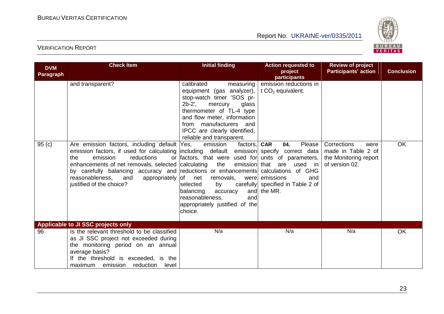

| <b>DVM</b><br><b>Paragraph</b> | <b>Check Item</b>                                                                                                                                                                                                                                                                                                                                                            | <b>Initial finding</b>                                                                                                                                                                                                                                                                                                                                                                                                                                                                                          | <b>Action requested to</b><br>project                                                                                                                                                                                                                | <b>Review of project</b><br><b>Participants' action</b>                              | <b>Conclusion</b> |
|--------------------------------|------------------------------------------------------------------------------------------------------------------------------------------------------------------------------------------------------------------------------------------------------------------------------------------------------------------------------------------------------------------------------|-----------------------------------------------------------------------------------------------------------------------------------------------------------------------------------------------------------------------------------------------------------------------------------------------------------------------------------------------------------------------------------------------------------------------------------------------------------------------------------------------------------------|------------------------------------------------------------------------------------------------------------------------------------------------------------------------------------------------------------------------------------------------------|--------------------------------------------------------------------------------------|-------------------|
| 95(c)                          | and transparent?<br>Are emission factors, including default Yes,<br>emission factors, if used for calculating including default emission<br>emission<br>reductions<br>the<br>enhancements of net removals, selected calculating<br>by carefully balancing accuracy and reductions or enhancements<br>reasonableness, and<br>appropriately of net<br>justified of the choice? | calibrated<br>measuring<br>equipment (gas analyzer),<br>stop-watch timer 'SOS pr-<br>$2b-2'$ ,<br>mercury<br>glass<br>thermometer of TL-4 type<br>and flow meter, information<br>from manufacturers<br>and<br>IPCC are clearly identified,<br>reliable and transparent.<br>emission<br>factors,<br>or factors, that were used for<br>the<br>emission<br>removals,<br>were<br>carefully<br>selected<br>by<br>balancing<br>and<br>accuracy<br>reasonableness,<br>and<br>appropriately justified of the<br>choice. | participants<br>emission reductions in<br>t $CO2$ equivalent.<br>Please<br><b>CAR</b><br>04.<br>specify correct data<br>units of parameters,<br>that<br>are used in<br>calculations of GHG<br>emissions<br>and<br>specified in Table 2 of<br>the MR. | Corrections<br>were<br>made in Table 2 of<br>the Monitoring report<br>of version 02. | OK                |
|                                | <b>Applicable to JI SSC projects only</b>                                                                                                                                                                                                                                                                                                                                    |                                                                                                                                                                                                                                                                                                                                                                                                                                                                                                                 |                                                                                                                                                                                                                                                      |                                                                                      |                   |
| 96                             | Is the relevant threshold to be classified<br>as JI SSC project not exceeded during<br>the monitoring period on an annual<br>average basis?<br>If the threshold is exceeded, is the<br>reduction<br>maximum emission<br>level                                                                                                                                                | N/a                                                                                                                                                                                                                                                                                                                                                                                                                                                                                                             | N/a                                                                                                                                                                                                                                                  | N/a                                                                                  | <b>OK</b>         |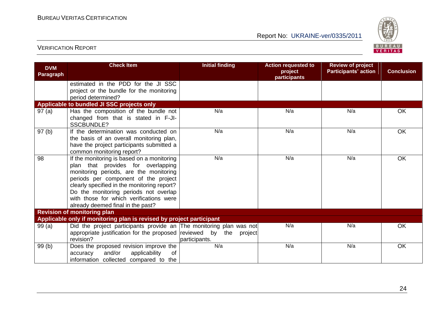

| <b>DVM</b><br>Paragraph | <b>Check Item</b>                                                                                                                                                                                                                                                                                                                          | <b>Initial finding</b>   | <b>Action requested to</b><br>project<br>participants | <b>Review of project</b><br><b>Participants' action</b> | <b>Conclusion</b> |
|-------------------------|--------------------------------------------------------------------------------------------------------------------------------------------------------------------------------------------------------------------------------------------------------------------------------------------------------------------------------------------|--------------------------|-------------------------------------------------------|---------------------------------------------------------|-------------------|
|                         | estimated in the PDD for the JI SSC<br>project or the bundle for the monitoring<br>period determined?                                                                                                                                                                                                                                      |                          |                                                       |                                                         |                   |
|                         | Applicable to bundled JI SSC projects only                                                                                                                                                                                                                                                                                                 |                          |                                                       |                                                         |                   |
| 97(a)                   | Has the composition of the bundle not<br>changed from that is stated in F-JI-<br><b>SSCBUNDLE?</b>                                                                                                                                                                                                                                         | N/a                      | N/a                                                   | N/a                                                     | OK                |
| 97(b)                   | If the determination was conducted on<br>the basis of an overall monitoring plan,<br>have the project participants submitted a<br>common monitoring report?                                                                                                                                                                                | N/a                      | N/a                                                   | N/a                                                     | <b>OK</b>         |
| 98                      | If the monitoring is based on a monitoring<br>plan that provides for overlapping<br>monitoring periods, are the monitoring<br>periods per component of the project<br>clearly specified in the monitoring report?<br>Do the monitoring periods not overlap<br>with those for which verifications were<br>already deemed final in the past? | N/a                      | N/a                                                   | N/a                                                     | <b>OK</b>         |
|                         | <b>Revision of monitoring plan</b>                                                                                                                                                                                                                                                                                                         |                          |                                                       |                                                         |                   |
|                         | Applicable only if monitoring plan is revised by project participant                                                                                                                                                                                                                                                                       |                          |                                                       |                                                         |                   |
| 99(a)                   | Did the project participants provide an The monitoring plan was not<br>appropriate justification for the proposed reviewed by the<br>revision?                                                                                                                                                                                             | project<br>participants. | N/a                                                   | N/a                                                     | OK                |
| 99(b)                   | Does the proposed revision improve the<br>and/or<br>applicability<br>0f<br>accuracy<br>information collected compared to the                                                                                                                                                                                                               | N/a                      | N/a                                                   | N/a                                                     | OK                |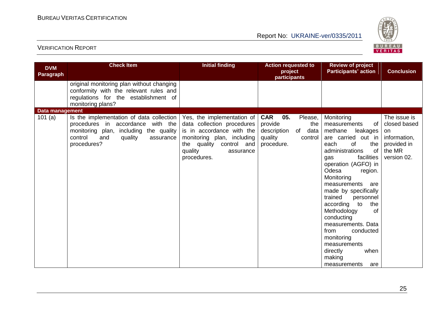

| <b>DVM</b><br><b>Paragraph</b>      | <b>Check Item</b>                                                                                                                                | <b>Initial finding</b>                                                                                                                                     | <b>Action requested to</b><br>project<br>participants                        | <b>Review of project</b><br><b>Participants' action</b>                                                                                                                                                                                                                                                                                                                                                                                                       | <b>Conclusion</b>                                                          |
|-------------------------------------|--------------------------------------------------------------------------------------------------------------------------------------------------|------------------------------------------------------------------------------------------------------------------------------------------------------------|------------------------------------------------------------------------------|---------------------------------------------------------------------------------------------------------------------------------------------------------------------------------------------------------------------------------------------------------------------------------------------------------------------------------------------------------------------------------------------------------------------------------------------------------------|----------------------------------------------------------------------------|
|                                     | original monitoring plan without changing<br>conformity with the relevant rules and<br>regulations for the establishment of<br>monitoring plans? |                                                                                                                                                            |                                                                              |                                                                                                                                                                                                                                                                                                                                                                                                                                                               |                                                                            |
| <b>Data management</b><br>101 $(a)$ | Is the implementation of data collection                                                                                                         | Yes, the implementation of                                                                                                                                 | <b>CAR</b><br>05.<br>Please,                                                 | Monitoring                                                                                                                                                                                                                                                                                                                                                                                                                                                    | The issue is                                                               |
|                                     | procedures in accordance with the<br>monitoring plan, including the quality<br>control<br>and<br>quality<br>assurance<br>procedures?             | data collection procedures<br>is in accordance with the<br>monitoring plan, including<br>the quality<br>control and<br>quality<br>assurance<br>procedures. | provide<br>the<br>description<br>of data<br>quality<br>control<br>procedure. | measurements<br>0f<br>methane<br>leakages<br>are carried out in<br>each<br>of<br>the<br>administrations<br>of<br>facilities<br>gas<br>operation (AGFO) in<br>Odesa<br>region.<br>Monitoring<br>measurements<br>are<br>made by specifically<br>trained<br>personnel<br>to<br>according<br>the<br>Methodology<br>Ωf<br>conducting<br>measurements. Data<br>from<br>conducted<br>monitoring<br>measurements<br>when<br>directly<br>making<br>measurements<br>are | closed based<br>on<br>information,<br>provided in<br>the MR<br>version 02. |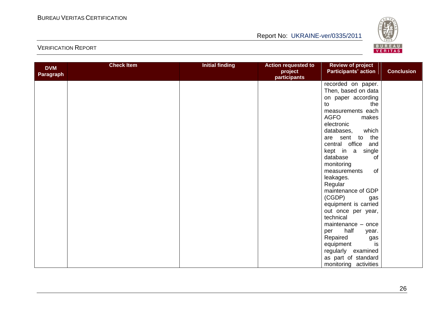

| <b>DVM</b> | <b>Check Item</b> | <b>Initial finding</b> | <b>Action requested to</b>     | <b>Review of project</b>    |                   |
|------------|-------------------|------------------------|--------------------------------|-----------------------------|-------------------|
| Paragraph  |                   |                        | project<br><b>participants</b> | <b>Participants' action</b> | <b>Conclusion</b> |
|            |                   |                        |                                | recorded on paper.          |                   |
|            |                   |                        |                                | Then, based on data         |                   |
|            |                   |                        |                                | on paper according          |                   |
|            |                   |                        |                                | the<br>to                   |                   |
|            |                   |                        |                                | measurements each           |                   |
|            |                   |                        |                                | <b>AGFO</b><br>makes        |                   |
|            |                   |                        |                                | electronic                  |                   |
|            |                   |                        |                                | which<br>databases,         |                   |
|            |                   |                        |                                | the<br>are sent to          |                   |
|            |                   |                        |                                | central office<br>and       |                   |
|            |                   |                        |                                | kept in a<br>single         |                   |
|            |                   |                        |                                | of<br>database              |                   |
|            |                   |                        |                                | monitoring                  |                   |
|            |                   |                        |                                | of<br>measurements          |                   |
|            |                   |                        |                                | leakages.                   |                   |
|            |                   |                        |                                | Regular                     |                   |
|            |                   |                        |                                | maintenance of GDP          |                   |
|            |                   |                        |                                | (CGDP)<br>gas               |                   |
|            |                   |                        |                                | equipment is carried        |                   |
|            |                   |                        |                                | out once per year,          |                   |
|            |                   |                        |                                | technical                   |                   |
|            |                   |                        |                                | maintenance - once          |                   |
|            |                   |                        |                                | half<br>per<br>year.        |                   |
|            |                   |                        |                                | Repaired<br>gas             |                   |
|            |                   |                        |                                | is<br>equipment             |                   |
|            |                   |                        |                                | regularly examined          |                   |
|            |                   |                        |                                | as part of standard         |                   |
|            |                   |                        |                                | monitoring activities       |                   |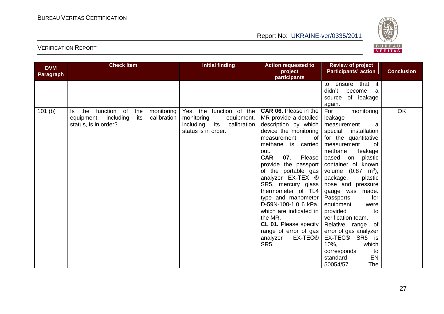

| <b>DVM</b><br><b>Paragraph</b> | <b>Check Item</b>                                                                                                       | <b>Action requested to</b><br>project<br><b>participants</b>                                                   | <b>Review of project</b><br><b>Participants' action</b>                                                                                                                                                                                                                                                                                                                                                                                                                             | <b>Conclusion</b>                                                                                                                                                                                                                                                                                                                                                                                                                                                                                                                      |    |
|--------------------------------|-------------------------------------------------------------------------------------------------------------------------|----------------------------------------------------------------------------------------------------------------|-------------------------------------------------------------------------------------------------------------------------------------------------------------------------------------------------------------------------------------------------------------------------------------------------------------------------------------------------------------------------------------------------------------------------------------------------------------------------------------|----------------------------------------------------------------------------------------------------------------------------------------------------------------------------------------------------------------------------------------------------------------------------------------------------------------------------------------------------------------------------------------------------------------------------------------------------------------------------------------------------------------------------------------|----|
|                                |                                                                                                                         |                                                                                                                |                                                                                                                                                                                                                                                                                                                                                                                                                                                                                     | ensure that it<br>to<br>didn't<br>become<br>a<br>of leakage<br>source<br>again.                                                                                                                                                                                                                                                                                                                                                                                                                                                        |    |
| 101(b)                         | function of<br>the<br>monitoring<br>the<br>Is.<br>calibration<br>including<br>its<br>equipment,<br>status, is in order? | Yes, the function of the<br>monitoring<br>equipment,<br>its<br>including<br>calibration<br>status is in order. | <b>CAR 06.</b> Please in the<br>MR provide a detailed<br>description by which<br>device the monitoring<br>measurement<br>0f<br>methane is carried<br>out.<br>07.<br><b>CAR</b><br>Please<br>provide the passport<br>of the portable gas<br>analyzer EX-TEX ®<br>SR5, mercury glass<br>thermometer of TL4<br>type and manometer<br>D-59N-100-1.0 6 kPa,<br>which are indicated in<br>the MR.<br>CL 01. Please specify<br>range of error of gas<br>EX-TEC®<br>analyzer<br><b>SR5.</b> | For<br>monitoring<br>leakage<br>measurement<br>a<br>installation<br>special<br>for the quantitative<br>0f<br>measurement<br>methane<br>leakage<br>based<br>plastic<br>on<br>container of known<br>volume $(0.87 \, \text{m}^3)$ ,<br>package,<br>plastic<br>hose and pressure<br>gauge was made.<br>Passports<br>for<br>equipment<br>were<br>provided<br>to<br>verification team.<br>Relative range<br>of<br>error of gas analyzer<br>EX-TEC® SR5<br>is<br>which<br>$10%$ ,<br>corresponds<br>to<br>EN<br>standard<br>The<br>50054/57. | OK |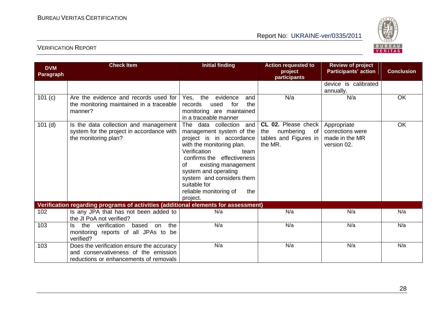

| <b>DVM</b><br><b>Paragraph</b> | <b>Check Item</b>                                                                                                           | <b>Initial finding</b>                                                                                                                                                                                                                                                                                               | <b>Action requested to</b><br>project<br>participants                          | <b>Review of project</b><br><b>Participants' action</b>          | <b>Conclusion</b> |
|--------------------------------|-----------------------------------------------------------------------------------------------------------------------------|----------------------------------------------------------------------------------------------------------------------------------------------------------------------------------------------------------------------------------------------------------------------------------------------------------------------|--------------------------------------------------------------------------------|------------------------------------------------------------------|-------------------|
|                                |                                                                                                                             |                                                                                                                                                                                                                                                                                                                      |                                                                                | device is calibrated<br>annually.                                |                   |
| 101 (c)                        | Are the evidence and records used for<br>the monitoring maintained in a traceable<br>manner?                                | Yes, the evidence<br>and<br>used<br>for<br>the<br>records<br>monitoring are maintained<br>in a traceable manner                                                                                                                                                                                                      | N/a                                                                            | N/a                                                              | OK                |
| $101$ (d)                      | Is the data collection and management<br>system for the project in accordance with<br>the monitoring plan?                  | The data collection<br>and<br>management system of the<br>project is in accordance<br>with the monitoring plan.<br>Verification<br>team<br>confirms the effectiveness<br>existing management<br>οf<br>system and operating<br>system and considers them<br>suitable for<br>reliable monitoring of<br>the<br>project. | CL 02. Please check<br>the<br>numbering of<br>tables and Figures in<br>the MR. | Appropriate<br>corrections were<br>made in the MR<br>version 02. | OK                |
|                                | Verification regarding programs of activities (additional elements for assessment)                                          |                                                                                                                                                                                                                                                                                                                      |                                                                                |                                                                  |                   |
| 102                            | Is any JPA that has not been added to<br>the JI PoA not verified?                                                           | N/a                                                                                                                                                                                                                                                                                                                  | N/a                                                                            | N/a                                                              | N/a               |
| 103                            | the verification<br>based<br>the<br>on<br>ls.<br>monitoring reports of all JPAs to be<br>verified?                          | N/a                                                                                                                                                                                                                                                                                                                  | N/a                                                                            | N/a                                                              | N/a               |
| 103                            | Does the verification ensure the accuracy<br>and conservativeness of the emission<br>reductions or enhancements of removals | N/a                                                                                                                                                                                                                                                                                                                  | N/a                                                                            | N/a                                                              | N/a               |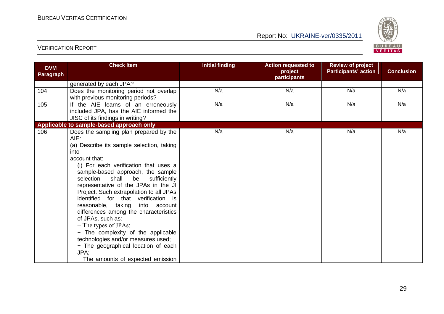

| <b>DVM</b><br>Paragraph | <b>Check Item</b>                                                                                                                                                                                                                                                                                                                                                                                                                                                                                                                                                                                                                                                    | <b>Initial finding</b> | <b>Action requested to</b><br>project<br>participants | <b>Review of project</b><br><b>Participants' action</b> | <b>Conclusion</b> |
|-------------------------|----------------------------------------------------------------------------------------------------------------------------------------------------------------------------------------------------------------------------------------------------------------------------------------------------------------------------------------------------------------------------------------------------------------------------------------------------------------------------------------------------------------------------------------------------------------------------------------------------------------------------------------------------------------------|------------------------|-------------------------------------------------------|---------------------------------------------------------|-------------------|
|                         | generated by each JPA?                                                                                                                                                                                                                                                                                                                                                                                                                                                                                                                                                                                                                                               |                        |                                                       |                                                         |                   |
| 104                     | Does the monitoring period not overlap<br>with previous monitoring periods?                                                                                                                                                                                                                                                                                                                                                                                                                                                                                                                                                                                          | N/a                    | N/a                                                   | N/a                                                     | N/a               |
| 105                     | If the AIE learns of an erroneously<br>included JPA, has the AIE informed the<br>JISC of its findings in writing?                                                                                                                                                                                                                                                                                                                                                                                                                                                                                                                                                    | N/a                    | N/a                                                   | N/a                                                     | N/a               |
|                         | Applicable to sample-based approach only                                                                                                                                                                                                                                                                                                                                                                                                                                                                                                                                                                                                                             |                        |                                                       |                                                         |                   |
| 106                     | Does the sampling plan prepared by the<br>AIE:<br>(a) Describe its sample selection, taking<br>into<br>account that:<br>(i) For each verification that uses a<br>sample-based approach, the sample<br>selection<br>shall be<br>sufficiently<br>representative of the JPAs in the JI<br>Project. Such extrapolation to all JPAs<br>identified for that verification is<br>reasonable, taking<br>into account<br>differences among the characteristics<br>of JPAs, such as:<br>$-$ The types of JPAs;<br>- The complexity of the applicable<br>technologies and/or measures used;<br>- The geographical location of each<br>JPA;<br>- The amounts of expected emission | N/a                    | N/a                                                   | N/a                                                     | N/a               |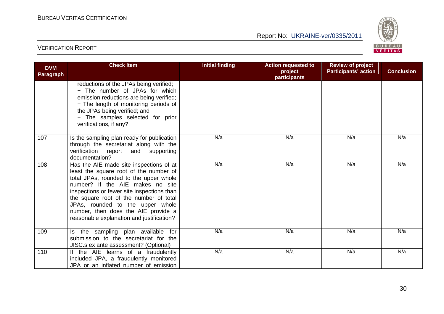

| <b>DVM</b><br>Paragraph | <b>Check Item</b>                                                                                                                                                                                                                                                                                                                                                               | <b>Initial finding</b> | <b>Action requested to</b><br>project<br>participants | <b>Review of project</b><br><b>Participants' action</b> | <b>Conclusion</b> |
|-------------------------|---------------------------------------------------------------------------------------------------------------------------------------------------------------------------------------------------------------------------------------------------------------------------------------------------------------------------------------------------------------------------------|------------------------|-------------------------------------------------------|---------------------------------------------------------|-------------------|
|                         | reductions of the JPAs being verified;<br>- The number of JPAs for which<br>emission reductions are being verified;<br>- The length of monitoring periods of<br>the JPAs being verified; and<br>- The samples selected for prior<br>verifications, if any?                                                                                                                      |                        |                                                       |                                                         |                   |
| 107                     | Is the sampling plan ready for publication<br>through the secretariat along with the<br>verification<br>report<br>and<br>supporting<br>documentation?                                                                                                                                                                                                                           | N/a                    | N/a                                                   | N/a                                                     | N/a               |
| 108                     | Has the AIE made site inspections of at<br>least the square root of the number of<br>total JPAs, rounded to the upper whole<br>number? If the AIE makes no site<br>inspections or fewer site inspections than<br>the square root of the number of total<br>JPAs, rounded to the upper whole<br>number, then does the AIE provide a<br>reasonable explanation and justification? | N/a                    | N/a                                                   | N/a                                                     | N/a               |
| 109                     | Is the sampling plan available for<br>submission to the secretariat for the<br>JISC.s ex ante assessment? (Optional)                                                                                                                                                                                                                                                            | N/a                    | N/a                                                   | N/a                                                     | N/a               |
| 110                     | If the AIE learns of a fraudulently<br>included JPA, a fraudulently monitored<br>JPA or an inflated number of emission                                                                                                                                                                                                                                                          | N/a                    | N/a                                                   | N/a                                                     | N/a               |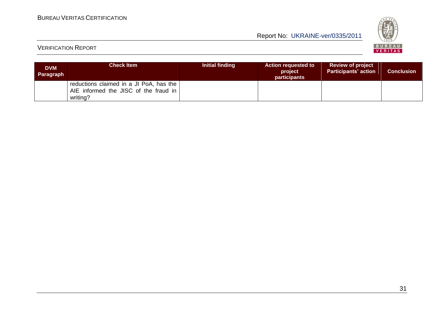

| <b>DVM</b><br>Paragraph | <b>Check Item</b>                                                                            | Initial finding | <b>Action requested to</b><br>project<br><b>participants</b> | <b>Review of project</b><br><b>Participants' action</b> | <b>Conclusion</b> |
|-------------------------|----------------------------------------------------------------------------------------------|-----------------|--------------------------------------------------------------|---------------------------------------------------------|-------------------|
|                         | reductions claimed in a JI PoA, has the<br>AIE informed the JISC of the fraud in<br>writing? |                 |                                                              |                                                         |                   |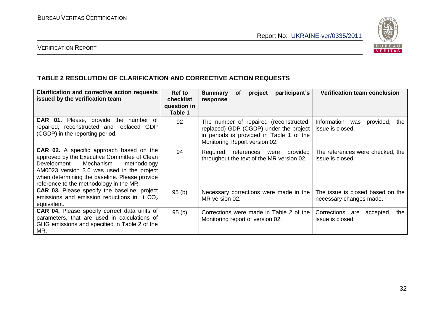

### VERIFICATION REPORT

#### **TABLE 2 RESOLUTION OF CLARIFICATION AND CORRECTIVE ACTION REQUESTS**

| <b>Clarification and corrective action requests</b><br>issued by the verification team                                                                                                                                                                                               | <b>Ref to</b><br>checklist<br>question in<br>Table 1 | participant's<br>of<br><b>Summary</b><br>project<br>response                                                                                                  | <b>Verification team conclusion</b>                         |
|--------------------------------------------------------------------------------------------------------------------------------------------------------------------------------------------------------------------------------------------------------------------------------------|------------------------------------------------------|---------------------------------------------------------------------------------------------------------------------------------------------------------------|-------------------------------------------------------------|
| <b>CAR 01.</b> Please, provide the number of<br>repaired, reconstructed and replaced<br>GDP<br>(CGDP) in the reporting period.                                                                                                                                                       | 92                                                   | The number of repaired (reconstructed,<br>replaced) GDP (CGDP) under the project<br>in periods is provided in Table 1 of the<br>Monitoring Report version 02. | Information was<br>provided,<br>the<br>issue is closed.     |
| <b>CAR 02.</b> A specific approach based on the<br>approved by the Executive Committee of Clean<br>Mechanism<br>methodology<br>Development<br>AM0023 version 3.0 was used in the project<br>when determining the baseline. Please provide<br>reference to the methodology in the MR. | 94                                                   | provided<br>Required<br>references<br>were<br>throughout the text of the MR version 02.                                                                       | The references were checked, the<br>issue is closed.        |
| <b>CAR 03.</b> Please specify the baseline, project<br>emissions and emission reductions in t CO <sub>2</sub><br>equivalent.                                                                                                                                                         | 95(b)                                                | Necessary corrections were made in the<br>MR version 02.                                                                                                      | The issue is closed based on the<br>necessary changes made. |
| <b>CAR 04.</b> Please specify correct data units of<br>parameters, that are used in calculations of<br>GHG emissions and specified in Table 2 of the<br>MR.                                                                                                                          | 95(c)                                                | Corrections were made in Table 2 of the<br>Monitoring report of version 02.                                                                                   | Corrections are<br>accepted,<br>the<br>issue is closed.     |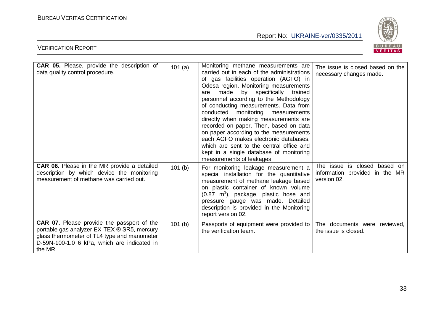

| <b>CAR 05.</b> Please, provide the description of                                                                                                                                                         | 101(a) | Monitoring methane measurements are                                                                                                                                                                                                                                                                                                                                                                                                                                                                                                                                                         | The issue is closed based on the                                              |
|-----------------------------------------------------------------------------------------------------------------------------------------------------------------------------------------------------------|--------|---------------------------------------------------------------------------------------------------------------------------------------------------------------------------------------------------------------------------------------------------------------------------------------------------------------------------------------------------------------------------------------------------------------------------------------------------------------------------------------------------------------------------------------------------------------------------------------------|-------------------------------------------------------------------------------|
| data quality control procedure.                                                                                                                                                                           |        | carried out in each of the administrations<br>of gas facilities operation (AGFO) in<br>Odesa region. Monitoring measurements<br>made by specifically<br>trained<br>are<br>personnel according to the Methodology<br>of conducting measurements. Data from<br>conducted monitoring<br>measurements<br>directly when making measurements are<br>recorded on paper. Then, based on data<br>on paper according to the measurements<br>each AGFO makes electronic databases,<br>which are sent to the central office and<br>kept in a single database of monitoring<br>measurements of leakages. | necessary changes made.                                                       |
| CAR 06. Please in the MR provide a detailed<br>description by which device the monitoring<br>measurement of methane was carried out.                                                                      | 101(b) | For monitoring leakage measurement a<br>special installation for the quantitative<br>measurement of methane leakage based<br>on plastic container of known volume<br>$(0.87 \text{ m}^3)$ , package, plastic hose and<br>pressure gauge was made. Detailed<br>description is provided in the Monitoring<br>report version 02.                                                                                                                                                                                                                                                               | The issue is closed based on<br>information provided in the MR<br>version 02. |
| <b>CAR 07.</b> Please provide the passport of the<br>portable gas analyzer EX-TEX ® SR5, mercury<br>glass thermometer of TL4 type and manometer<br>D-59N-100-1.0 6 kPa, which are indicated in<br>the MR. | 101(b) | Passports of equipment were provided to<br>the verification team.                                                                                                                                                                                                                                                                                                                                                                                                                                                                                                                           | The documents were reviewed,<br>the issue is closed.                          |